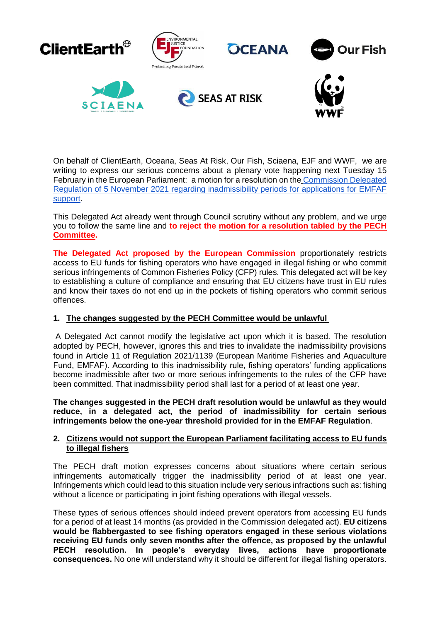

On behalf of ClientEarth, Oceana, Seas At Risk, Our Fish, Sciaena, EJF and WWF, we are writing to express our serious concerns about a plenary vote happening next Tuesday 15 February in the European Parliament: a motion for a resolution on the [Commission Delegated](https://webgate.ec.europa.eu/regdel/web/delegatedActs/1674/documents/6984?lang=en)  [Regulation of 5 November 2021 regarding inadmissibility periods for applications for EMFAF](https://webgate.ec.europa.eu/regdel/web/delegatedActs/1674/documents/6984?lang=en)  [support.](https://webgate.ec.europa.eu/regdel/web/delegatedActs/1674/documents/6984?lang=en)

This Delegated Act already went through Council scrutiny without any problem, and we urge you to follow the same line and **to reject the [motion for a resolution tabled by the PECH](https://www.europarl.europa.eu/meetdocs/2014_2019/plmrep/COMMITTEES/PECH/DV/2022/02-03/DelAct-EMFAF_MotionforResolution_EN.pdf)  [Committee.](https://www.europarl.europa.eu/meetdocs/2014_2019/plmrep/COMMITTEES/PECH/DV/2022/02-03/DelAct-EMFAF_MotionforResolution_EN.pdf)**

**The Delegated Act proposed by the European Commission** proportionately restricts access to EU funds for fishing operators who have engaged in illegal fishing or who commit serious infringements of Common Fisheries Policy (CFP) rules. This delegated act will be key to establishing a culture of compliance and ensuring that EU citizens have trust in EU rules and know their taxes do not end up in the pockets of fishing operators who commit serious offences.

## **1. The changes suggested by the PECH Committee would be unlawful**

A Delegated Act cannot modify the legislative act upon which it is based. The resolution adopted by PECH, however, ignores this and tries to invalidate the inadmissibility provisions found in Article 11 of Regulation 2021/1139 (European Maritime Fisheries and Aquaculture Fund, EMFAF). According to this inadmissibility rule, fishing operators' funding applications become inadmissible after two or more serious infringements to the rules of the CFP have been committed. That inadmissibility period shall last for a period of at least one year.

**The changes suggested in the PECH draft resolution would be unlawful as they would reduce, in a delegated act, the period of inadmissibility for certain serious infringements below the one-year threshold provided for in the EMFAF Regulation**.

## **2. Citizens would not support the European Parliament facilitating access to EU funds to illegal fishers**

The PECH draft motion expresses concerns about situations where certain serious infringements automatically trigger the inadmissibility period of at least one year. Infringements which could lead to this situation include very serious infractions such as: fishing without a licence or participating in joint fishing operations with illegal vessels.

These types of serious offences should indeed prevent operators from accessing EU funds for a period of at least 14 months (as provided in the Commission delegated act). **EU citizens would be flabbergasted to see fishing operators engaged in these serious violations receiving EU funds only seven months after the offence, as proposed by the unlawful PECH resolution. In people's everyday lives, actions have proportionate consequences.** No one will understand why it should be different for illegal fishing operators.